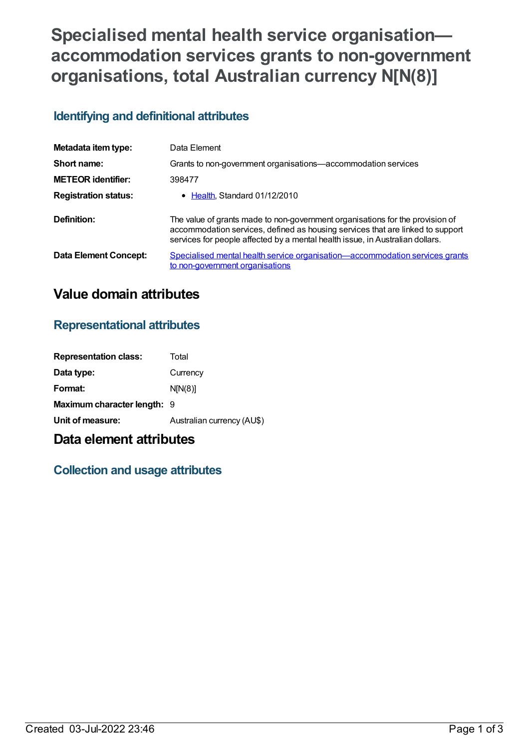# **Specialised mental health service organisation accommodation services grants to non-government organisations, total Australian currency N[N(8)]**

### **Identifying and definitional attributes**

| Metadata item type:         | Data Element                                                                                                                                                                                                                                     |
|-----------------------------|--------------------------------------------------------------------------------------------------------------------------------------------------------------------------------------------------------------------------------------------------|
| Short name:                 | Grants to non-government organisations—accommodation services                                                                                                                                                                                    |
| <b>METEOR identifier:</b>   | 398477                                                                                                                                                                                                                                           |
| <b>Registration status:</b> | • Health, Standard 01/12/2010                                                                                                                                                                                                                    |
| Definition:                 | The value of grants made to non-government organisations for the provision of<br>accommodation services, defined as housing services that are linked to support<br>services for people affected by a mental health issue, in Australian dollars. |
| Data Element Concept:       | Specialised mental health service organisation-accommodation services grants<br>to non-government organisations                                                                                                                                  |

## **Value domain attributes**

#### **Representational attributes**

| <b>Representation class:</b>       | Total                      |
|------------------------------------|----------------------------|
| Data type:                         | Currency                   |
| Format:                            | N[N(8)]                    |
| <b>Maximum character length: 9</b> |                            |
| Unit of measure:                   | Australian currency (AU\$) |
|                                    |                            |

## **Data element attributes**

#### **Collection and usage attributes**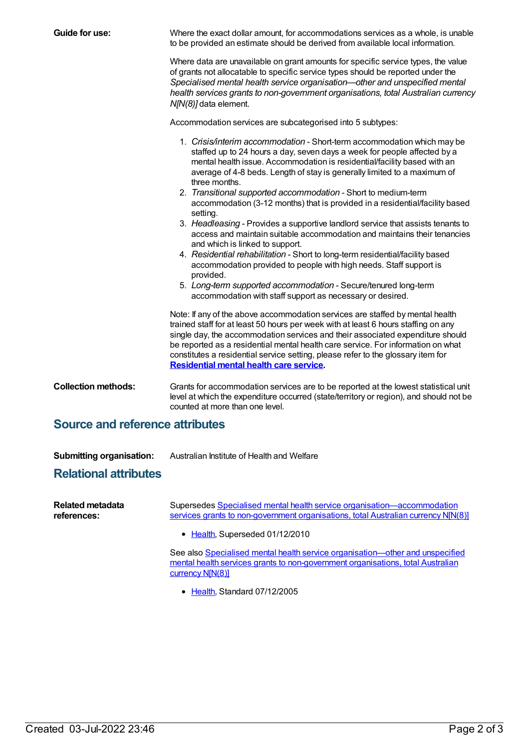| Guide for use:                                                  | Where the exact dollar amount, for accommodations services as a whole, is unable<br>to be provided an estimate should be derived from available local information.                                                                                                                                                                                                                                                                                                                                                                                                                                                                                                                                                                                                                                                                                                                                                                                                                                                                                                                                                                                                                                                                                                                                                                                                                                                                                                                  |  |
|-----------------------------------------------------------------|-------------------------------------------------------------------------------------------------------------------------------------------------------------------------------------------------------------------------------------------------------------------------------------------------------------------------------------------------------------------------------------------------------------------------------------------------------------------------------------------------------------------------------------------------------------------------------------------------------------------------------------------------------------------------------------------------------------------------------------------------------------------------------------------------------------------------------------------------------------------------------------------------------------------------------------------------------------------------------------------------------------------------------------------------------------------------------------------------------------------------------------------------------------------------------------------------------------------------------------------------------------------------------------------------------------------------------------------------------------------------------------------------------------------------------------------------------------------------------------|--|
|                                                                 | Where data are unavailable on grant amounts for specific service types, the value<br>of grants not allocatable to specific service types should be reported under the<br>Specialised mental health service organisation-other and unspecified mental<br>health services grants to non-government organisations, total Australian currency<br>N[N(8)] data element.                                                                                                                                                                                                                                                                                                                                                                                                                                                                                                                                                                                                                                                                                                                                                                                                                                                                                                                                                                                                                                                                                                                  |  |
|                                                                 | Accommodation services are subcategorised into 5 subtypes:                                                                                                                                                                                                                                                                                                                                                                                                                                                                                                                                                                                                                                                                                                                                                                                                                                                                                                                                                                                                                                                                                                                                                                                                                                                                                                                                                                                                                          |  |
|                                                                 | 1. Crisis/interim accommodation - Short-term accommodation which may be<br>staffed up to 24 hours a day, seven days a week for people affected by a<br>mental health issue. Accommodation is residential/facility based with an<br>average of 4-8 beds. Length of stay is generally limited to a maximum of<br>three months.<br>2. Transitional supported accommodation - Short to medium-term<br>accommodation (3-12 months) that is provided in a residential/facility based<br>setting.<br>3. Headleasing - Provides a supportive landlord service that assists tenants to<br>access and maintain suitable accommodation and maintains their tenancies<br>and which is linked to support.<br>4. Residential rehabilitation - Short to long-term residential/facility based<br>accommodation provided to people with high needs. Staff support is<br>provided.<br>5. Long-term supported accommodation - Secure/tenured long-term<br>accommodation with staff support as necessary or desired.<br>Note: If any of the above accommodation services are staffed by mental health<br>trained staff for at least 50 hours per week with at least 6 hours staffing on any<br>single day, the accommodation services and their associated expenditure should<br>be reported as a residential mental health care service. For information on what<br>constitutes a residential service setting, please refer to the glossary item for<br><b>Residential mental health care service.</b> |  |
| <b>Collection methods:</b>                                      | Grants for accommodation services are to be reported at the lowest statistical unit<br>level at which the expenditure occurred (state/territory or region), and should not be<br>counted at more than one level.                                                                                                                                                                                                                                                                                                                                                                                                                                                                                                                                                                                                                                                                                                                                                                                                                                                                                                                                                                                                                                                                                                                                                                                                                                                                    |  |
| <b>Source and reference attributes</b>                          |                                                                                                                                                                                                                                                                                                                                                                                                                                                                                                                                                                                                                                                                                                                                                                                                                                                                                                                                                                                                                                                                                                                                                                                                                                                                                                                                                                                                                                                                                     |  |
| <b>Submitting organisation:</b><br><b>Relational attributes</b> | Australian Institute of Health and Welfare                                                                                                                                                                                                                                                                                                                                                                                                                                                                                                                                                                                                                                                                                                                                                                                                                                                                                                                                                                                                                                                                                                                                                                                                                                                                                                                                                                                                                                          |  |
| <b>Related metadata</b><br>references:                          | Supersedes Specialised mental health service organisation-accommodation<br>services grants to non-government organisations, total Australian currency NJN(8)]                                                                                                                                                                                                                                                                                                                                                                                                                                                                                                                                                                                                                                                                                                                                                                                                                                                                                                                                                                                                                                                                                                                                                                                                                                                                                                                       |  |
|                                                                 | • Health, Superseded 01/12/2010                                                                                                                                                                                                                                                                                                                                                                                                                                                                                                                                                                                                                                                                                                                                                                                                                                                                                                                                                                                                                                                                                                                                                                                                                                                                                                                                                                                                                                                     |  |
|                                                                 | See also Specialised mental health service organisation-other and unspecified<br>mental health services grants to non-government organisations, total Australian<br>currency N[N(8)]                                                                                                                                                                                                                                                                                                                                                                                                                                                                                                                                                                                                                                                                                                                                                                                                                                                                                                                                                                                                                                                                                                                                                                                                                                                                                                |  |
|                                                                 | • Health, Standard 07/12/2005                                                                                                                                                                                                                                                                                                                                                                                                                                                                                                                                                                                                                                                                                                                                                                                                                                                                                                                                                                                                                                                                                                                                                                                                                                                                                                                                                                                                                                                       |  |